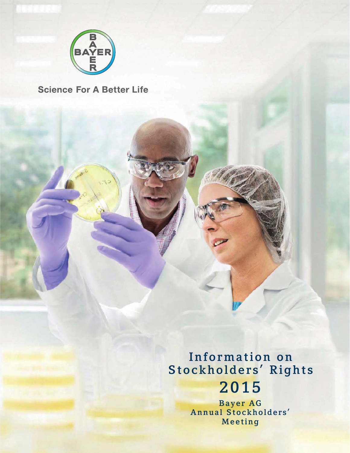

**Science For A Better Life** 

Information on Stockholders' Rights 2015

> Bayer AG Annual Stockholders' Meeting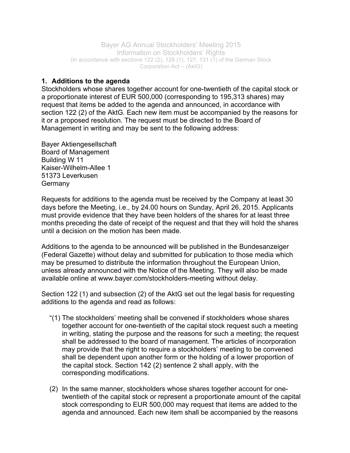Bayer AG Annual Stockholders' Meeting 2015 Information on Stockholders' Rights (in accordance with sections 122 (2), 126 (1), 127, 131  $(1)$  of the German Stock Corporation Act – (AktG)

## **1. Additions to the agenda**

Stockholders whose shares together account for one-twentieth of the capital stock or a proportionate interest of EUR 500,000 (corresponding to 195,313 shares) may request that items be added to the agenda and announced, in accordance with section 122 (2) of the AktG. Each new item must be accompanied by the reasons for it or a proposed resolution. The request must be directed to the Board of Management in writing and may be sent to the following address:

Bayer Aktiengesellschaft Board of Management Building W 11 Kaiser-Wilhelm-Allee 1 51373 Leverkusen **Germany** 

Requests for additions to the agenda must be received by the Company at least 30 days before the Meeting, i.e., by 24.00 hours on Sunday, April 26, 2015. Applicants must provide evidence that they have been holders of the shares for at least three months preceding the date of receipt of the request and that they will hold the shares until a decision on the motion has been made.

Additions to the agenda to be announced will be published in the Bundesanzeiger (Federal Gazette) without delay and submitted for publication to those media which may be presumed to distribute the information throughout the European Union, unless already announced with the Notice of the Meeting. They will also be made available online at www.bayer.com/stockholders-meeting without delay.

Section 122 (1) and subsection (2) of the AktG set out the legal basis for requesting additions to the agenda and read as follows:

- "(1) The stockholders' meeting shall be convened if stockholders whose shares together account for one-twentieth of the capital stock request such a meeting in writing, stating the purpose and the reasons for such a meeting; the request shall be addressed to the board of management. The articles of incorporation may provide that the right to require a stockholders' meeting to be convened shall be dependent upon another form or the holding of a lower proportion of the capital stock. Section 142 (2) sentence 2 shall apply, with the corresponding modifications.
- (2) In the same manner, stockholders whose shares together account for onetwentieth of the capital stock or represent a proportionate amount of the capital stock corresponding to EUR 500,000 may request that items are added to the agenda and announced. Each new item shall be accompanied by the reasons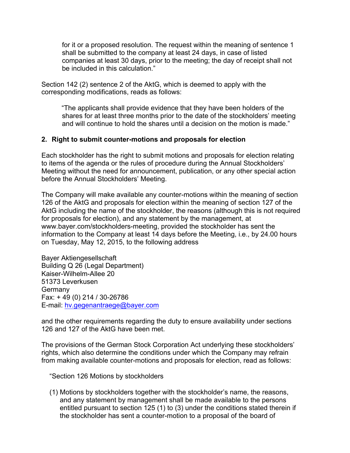for it or a proposed resolution. The request within the meaning of sentence 1 shall be submitted to the company at least 24 days, in case of listed companies at least 30 days, prior to the meeting; the day of receipt shall not be included in this calculation."

Section 142 (2) sentence 2 of the AktG, which is deemed to apply with the corresponding modifications, reads as follows:

"The applicants shall provide evidence that they have been holders of the shares for at least three months prior to the date of the stockholders' meeting and will continue to hold the shares until a decision on the motion is made."

## **2. Right to submit counter-motions and proposals for election**

Each stockholder has the right to submit motions and proposals for election relating to items of the agenda or the rules of procedure during the Annual Stockholders' Meeting without the need for announcement, publication, or any other special action before the Annual Stockholders' Meeting.

The Company will make available any counter-motions within the meaning of section 126 of the AktG and proposals for election within the meaning of section 127 of the AktG including the name of the stockholder, the reasons (although this is not required for proposals for election), and any statement by the management, at www.bayer.com/stockholders-meeting, provided the stockholder has sent the information to the Company at least 14 days before the Meeting, i.e., by 24.00 hours on Tuesday, May 12, 2015, to the following address

Bayer Aktiengesellschaft Building Q 26 (Legal Department) Kaiser-Wilhelm-Allee 20 51373 Leverkusen **Germany** Fax: + 49 (0) 214 / 30-26786 E-mail: hv.gegenantraege@bayer.com

and the other requirements regarding the duty to ensure availability under sections 126 and 127 of the AktG have been met.

The provisions of the German Stock Corporation Act underlying these stockholders' rights, which also determine the conditions under which the Company may refrain from making available counter-motions and proposals for election, read as follows:

"Section 126 Motions by stockholders

(1) Motions by stockholders together with the stockholder's name, the reasons, and any statement by management shall be made available to the persons entitled pursuant to section 125 (1) to (3) under the conditions stated therein if the stockholder has sent a counter-motion to a proposal of the board of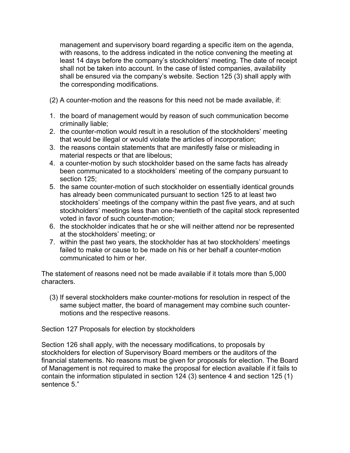management and supervisory board regarding a specific item on the agenda, with reasons, to the address indicated in the notice convening the meeting at least 14 days before the company's stockholders' meeting. The date of receipt shall not be taken into account. In the case of listed companies, availability shall be ensured via the company's website. Section 125 (3) shall apply with the corresponding modifications.

- (2) A counter-motion and the reasons for this need not be made available, if:
- 1. the board of management would by reason of such communication become criminally liable;
- 2. the counter-motion would result in a resolution of the stockholders' meeting that would be illegal or would violate the articles of incorporation;
- 3. the reasons contain statements that are manifestly false or misleading in material respects or that are libelous;
- 4. a counter-motion by such stockholder based on the same facts has already been communicated to a stockholders' meeting of the company pursuant to section 125;
- 5. the same counter-motion of such stockholder on essentially identical grounds has already been communicated pursuant to section 125 to at least two stockholders' meetings of the company within the past five years, and at such stockholders' meetings less than one-twentieth of the capital stock represented voted in favor of such counter-motion;
- 6. the stockholder indicates that he or she will neither attend nor be represented at the stockholders' meeting; or
- 7. within the past two years, the stockholder has at two stockholders' meetings failed to make or cause to be made on his or her behalf a counter-motion communicated to him or her.

The statement of reasons need not be made available if it totals more than 5,000 characters.

(3) If several stockholders make counter-motions for resolution in respect of the same subject matter, the board of management may combine such countermotions and the respective reasons.

Section 127 Proposals for election by stockholders

Section 126 shall apply, with the necessary modifications, to proposals by stockholders for election of Supervisory Board members or the auditors of the financial statements. No reasons must be given for proposals for election. The Board of Management is not required to make the proposal for election available if it fails to contain the information stipulated in section 124 (3) sentence 4 and section 125 (1) sentence 5."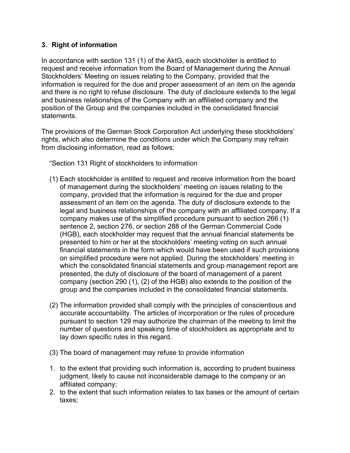## **3. Right of information**

In accordance with section 131 (1) of the AktG, each stockholder is entitled to request and receive information from the Board of Management during the Annual Stockholders' Meeting on issues relating to the Company, provided that the information is required for the due and proper assessment of an item on the agenda and there is no right to refuse disclosure. The duty of disclosure extends to the legal and business relationships of the Company with an affiliated company and the position of the Group and the companies included in the consolidated financial statements.

The provisions of the German Stock Corporation Act underlying these stockholders' rights, which also determine the conditions under which the Company may refrain from disclosing information, read as follows:

"Section 131 Right of stockholders to information

- (1) Each stockholder is entitled to request and receive information from the board of management during the stockholders' meeting on issues relating to the company, provided that the information is required for the due and proper assessment of an item on the agenda. The duty of disclosure extends to the legal and business relationships of the company with an affiliated company. If a company makes use of the simplified procedure pursuant to section 266 (1) sentence 2, section 276, or section 288 of the German Commercial Code (HGB), each stockholder may request that the annual financial statements be presented to him or her at the stockholders' meeting voting on such annual financial statements in the form which would have been used if such provisions on simplified procedure were not applied. During the stockholders' meeting in which the consolidated financial statements and group management report are presented, the duty of disclosure of the board of management of a parent company (section 290 (1), (2) of the HGB) also extends to the position of the group and the companies included in the consolidated financial statements.
- (2) The information provided shall comply with the principles of conscientious and accurate accountability. The articles of incorporation or the rules of procedure pursuant to section 129 may authorize the chairman of the meeting to limit the number of questions and speaking time of stockholders as appropriate and to lay down specific rules in this regard.
- (3) The board of management may refuse to provide information
- 1. to the extent that providing such information is, according to prudent business judgment, likely to cause not inconsiderable damage to the company or an affiliated company;
- 2. to the extent that such information relates to tax bases or the amount of certain taxes;